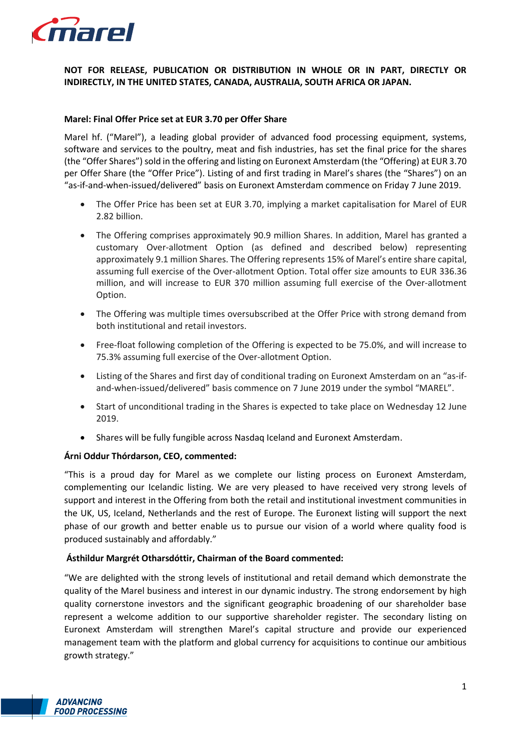

# **NOT FOR RELEASE, PUBLICATION OR DISTRIBUTION IN WHOLE OR IN PART, DIRECTLY OR INDIRECTLY, IN THE UNITED STATES, CANADA, AUSTRALIA, SOUTH AFRICA OR JAPAN.**

## **Marel: Final Offer Price set at EUR 3.70 per Offer Share**

Marel hf. ("Marel"), a leading global provider of advanced food processing equipment, systems, software and services to the poultry, meat and fish industries, has set the final price for the shares (the "Offer Shares") sold in the offering and listing on Euronext Amsterdam (the "Offering) at EUR 3.70 per Offer Share (the "Offer Price"). Listing of and first trading in Marel's shares (the "Shares") on an "as-if-and-when-issued/delivered" basis on Euronext Amsterdam commence on Friday 7 June 2019.

- The Offer Price has been set at EUR 3.70, implying a market capitalisation for Marel of EUR 2.82 billion.
- The Offering comprises approximately 90.9 million Shares. In addition, Marel has granted a customary Over-allotment Option (as defined and described below) representing approximately 9.1 million Shares. The Offering represents 15% of Marel's entire share capital, assuming full exercise of the Over-allotment Option. Total offer size amounts to EUR 336.36 million, and will increase to EUR 370 million assuming full exercise of the Over-allotment Option.
- The Offering was multiple times oversubscribed at the Offer Price with strong demand from both institutional and retail investors.
- Free-float following completion of the Offering is expected to be 75.0%, and will increase to 75.3% assuming full exercise of the Over-allotment Option.
- Listing of the Shares and first day of conditional trading on Euronext Amsterdam on an "as-ifand-when-issued/delivered" basis commence on 7 June 2019 under the symbol "MAREL".
- Start of unconditional trading in the Shares is expected to take place on Wednesday 12 June 2019.
- Shares will be fully fungible across Nasdaq Iceland and Euronext Amsterdam.

## **Árni Oddur Thórdarson, CEO, commented:**

"This is a proud day for Marel as we complete our listing process on Euronext Amsterdam, complementing our Icelandic listing. We are very pleased to have received very strong levels of support and interest in the Offering from both the retail and institutional investment communities in the UK, US, Iceland, Netherlands and the rest of Europe. The Euronext listing will support the next phase of our growth and better enable us to pursue our vision of a world where quality food is produced sustainably and affordably."

## **Ásthildur Margrét Otharsdóttir, Chairman of the Board commented:**

"We are delighted with the strong levels of institutional and retail demand which demonstrate the quality of the Marel business and interest in our dynamic industry. The strong endorsement by high quality cornerstone investors and the significant geographic broadening of our shareholder base represent a welcome addition to our supportive shareholder register. The secondary listing on Euronext Amsterdam will strengthen Marel's capital structure and provide our experienced management team with the platform and global currency for acquisitions to continue our ambitious growth strategy."

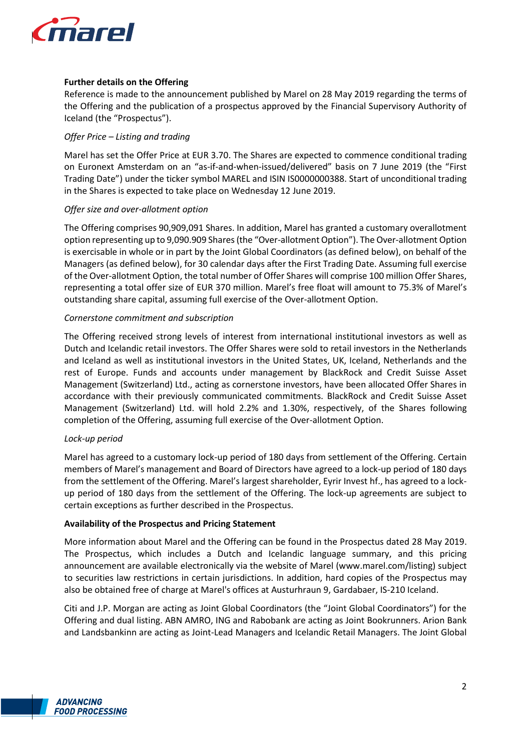

## **Further details on the Offering**

Reference is made to the announcement published by Marel on 28 May 2019 regarding the terms of the Offering and the publication of a prospectus approved by the Financial Supervisory Authority of Iceland (the "Prospectus").

## *Offer Price – Listing and trading*

Marel has set the Offer Price at EUR 3.70. The Shares are expected to commence conditional trading on Euronext Amsterdam on an "as-if-and-when-issued/delivered" basis on 7 June 2019 (the "First Trading Date") under the ticker symbol MAREL and ISIN IS0000000388. Start of unconditional trading in the Shares is expected to take place on Wednesday 12 June 2019.

### *Offer size and over-allotment option*

The Offering comprises 90,909,091 Shares. In addition, Marel has granted a customary overallotment option representing up to 9,090.909 Shares (the "Over-allotment Option"). The Over-allotment Option is exercisable in whole or in part by the Joint Global Coordinators (as defined below), on behalf of the Managers (as defined below), for 30 calendar days after the First Trading Date. Assuming full exercise of the Over-allotment Option, the total number of Offer Shares will comprise 100 million Offer Shares, representing a total offer size of EUR 370 million. Marel's free float will amount to 75.3% of Marel's outstanding share capital, assuming full exercise of the Over-allotment Option.

### *Cornerstone commitment and subscription*

The Offering received strong levels of interest from international institutional investors as well as Dutch and Icelandic retail investors. The Offer Shares were sold to retail investors in the Netherlands and Iceland as well as institutional investors in the United States, UK, Iceland, Netherlands and the rest of Europe. Funds and accounts under management by BlackRock and Credit Suisse Asset Management (Switzerland) Ltd., acting as cornerstone investors, have been allocated Offer Shares in accordance with their previously communicated commitments. BlackRock and Credit Suisse Asset Management (Switzerland) Ltd. will hold 2.2% and 1.30%, respectively, of the Shares following completion of the Offering, assuming full exercise of the Over-allotment Option.

#### *Lock-up period*

Marel has agreed to a customary lock-up period of 180 days from settlement of the Offering. Certain members of Marel's management and Board of Directors have agreed to a lock-up period of 180 days from the settlement of the Offering. Marel's largest shareholder, Eyrir Invest hf., has agreed to a lockup period of 180 days from the settlement of the Offering. The lock-up agreements are subject to certain exceptions as further described in the Prospectus.

#### **Availability of the Prospectus and Pricing Statement**

More information about Marel and the Offering can be found in the Prospectus dated 28 May 2019. The Prospectus, which includes a Dutch and Icelandic language summary, and this pricing announcement are available electronically via the website of Marel (www.marel.com/listing) subject to securities law restrictions in certain jurisdictions. In addition, hard copies of the Prospectus may also be obtained free of charge at Marel's offices at Austurhraun 9, Gardabaer, IS-210 Iceland.

Citi and J.P. Morgan are acting as Joint Global Coordinators (the "Joint Global Coordinators") for the Offering and dual listing. ABN AMRO, ING and Rabobank are acting as Joint Bookrunners. Arion Bank and Landsbankinn are acting as Joint-Lead Managers and Icelandic Retail Managers. The Joint Global

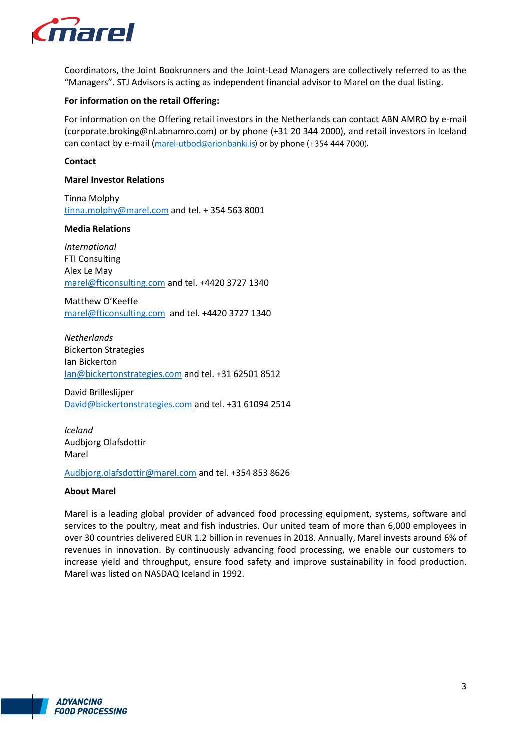

Coordinators, the Joint Bookrunners and the Joint-Lead Managers are collectively referred to as the "Managers". STJ Advisors is acting as independent financial advisor to Marel on the dual listing.

## **For information on the retail Offering:**

For information on the Offering retail investors in the Netherlands can contact ABN AMRO by e-mail (corporate.broking@nl.abnamro.com) or by phone (+31 20 344 2000), and retail investors in Iceland can contact by e-mail [\(](mailto:marel-utbod@arionbanki.is)marel-utbod@arionbanki.is) or by phone (+354 444 7000).

### **Contact**

#### **Marel Investor Relations**

Tinna Molphy [tinna.molphy@marel.com](mailto:tinna.molphy@marel.com) and tel. + 354 563 8001

## **Media Relations**

*International* FTI Consulting Alex Le May [marel@fticonsulting.com](mailto:marel@fticonsulting.com) and tel. +4420 3727 1340

Matthew O'Keeffe [marel@fticonsulting.com](mailto:marel@fticonsulting.com) and tel. +4420 3727 1340

*Netherlands* Bickerton Strategies Ian Bickerton [Ian@bickertonstrategies.com](mailto:Ian@bickertonstrategies.com) and tel. +31 62501 8512

David Brilleslijper [David@bickertonstrategies.com](mailto:David@bickertonstrategies.com) and tel. +31 61094 2514

*Iceland* Audbjorg Olafsdottir Marel

[Audbjorg.olafsdottir@marel.com](mailto:Audbjorg.olafsdottir@marel.com) and tel. +354 853 8626

#### **About Marel**

Marel is a leading global provider of advanced food processing equipment, systems, software and services to the poultry, meat and fish industries. Our united team of more than 6,000 employees in over 30 countries delivered EUR 1.2 billion in revenues in 2018. Annually, Marel invests around 6% of revenues in innovation. By continuously advancing food processing, we enable our customers to increase yield and throughput, ensure food safety and improve sustainability in food production. Marel was listed on NASDAQ Iceland in 1992.

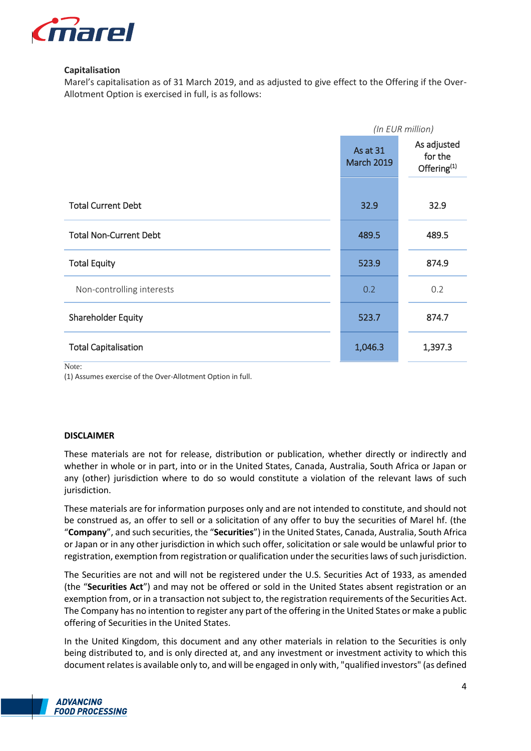

## **Capitalisation**

Marel's capitalisation as of 31 March 2019, and as adjusted to give effect to the Offering if the Over-Allotment Option is exercised in full, is as follows:

|                               | (In EUR million)              |                                                   |
|-------------------------------|-------------------------------|---------------------------------------------------|
|                               | As at 31<br><b>March 2019</b> | As adjusted<br>for the<br>Offering <sup>(1)</sup> |
|                               |                               |                                                   |
| <b>Total Current Debt</b>     | 32.9                          | 32.9                                              |
| <b>Total Non-Current Debt</b> | 489.5                         | 489.5                                             |
| <b>Total Equity</b>           | 523.9                         | 874.9                                             |
| Non-controlling interests     | 0.2                           | 0.2                                               |
| <b>Shareholder Equity</b>     | 523.7                         | 874.7                                             |
| <b>Total Capitalisation</b>   | 1,046.3                       | 1,397.3                                           |

Note:

(1) Assumes exercise of the Over-Allotment Option in full.

#### **DISCLAIMER**

These materials are not for release, distribution or publication, whether directly or indirectly and whether in whole or in part, into or in the United States, Canada, Australia, South Africa or Japan or any (other) jurisdiction where to do so would constitute a violation of the relevant laws of such jurisdiction.

These materials are for information purposes only and are not intended to constitute, and should not be construed as, an offer to sell or a solicitation of any offer to buy the securities of Marel hf. (the "**Company**", and such securities, the "**Securities**") in the United States, Canada, Australia, South Africa or Japan or in any other jurisdiction in which such offer, solicitation or sale would be unlawful prior to registration, exemption from registration or qualification under the securities laws of such jurisdiction.

The Securities are not and will not be registered under the U.S. Securities Act of 1933, as amended (the "**Securities Act**") and may not be offered or sold in the United States absent registration or an exemption from, or in a transaction not subject to, the registration requirements of the Securities Act. The Company has no intention to register any part of the offering in the United States or make a public offering of Securities in the United States.

In the United Kingdom, this document and any other materials in relation to the Securities is only being distributed to, and is only directed at, and any investment or investment activity to which this document relates is available only to, and will be engaged in only with, "qualified investors" (as defined

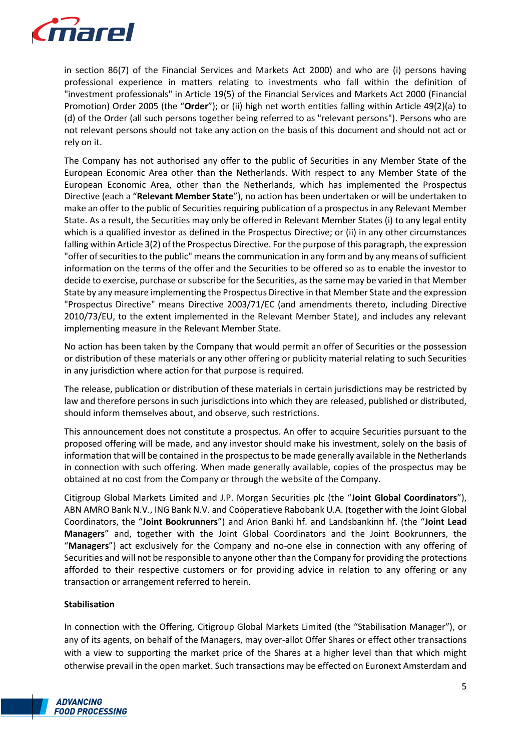

in section 86(7) of the Financial Services and Markets Act 2000) and who are (i) persons having professional experience in matters relating to investments who fall within the definition of "investment professionals" in Article 19(5) of the Financial Services and Markets Act 2000 (Financial Promotion) Order 2005 (the "**Order**"); or (ii) high net worth entities falling within Article 49(2)(a) to (d) of the Order (all such persons together being referred to as "relevant persons"). Persons who are not relevant persons should not take any action on the basis of this document and should not act or rely on it.

The Company has not authorised any offer to the public of Securities in any Member State of the European Economic Area other than the Netherlands. With respect to any Member State of the European Economic Area, other than the Netherlands, which has implemented the Prospectus Directive (each a "**Relevant Member State**"), no action has been undertaken or will be undertaken to make an offer to the public of Securities requiring publication of a prospectus in any Relevant Member State. As a result, the Securities may only be offered in Relevant Member States (i) to any legal entity which is a qualified investor as defined in the Prospectus Directive; or (ii) in any other circumstances falling within Article 3(2) of the Prospectus Directive. For the purpose of this paragraph, the expression "offer of securities to the public" means the communication in any form and by any means of sufficient information on the terms of the offer and the Securities to be offered so as to enable the investor to decide to exercise, purchase or subscribe for the Securities, as the same may be varied in that Member State by any measure implementing the Prospectus Directive in that Member State and the expression "Prospectus Directive" means Directive 2003/71/EC (and amendments thereto, including Directive 2010/73/EU, to the extent implemented in the Relevant Member State), and includes any relevant implementing measure in the Relevant Member State.

No action has been taken by the Company that would permit an offer of Securities or the possession or distribution of these materials or any other offering or publicity material relating to such Securities in any jurisdiction where action for that purpose is required.

The release, publication or distribution of these materials in certain jurisdictions may be restricted by law and therefore persons in such jurisdictions into which they are released, published or distributed, should inform themselves about, and observe, such restrictions.

This announcement does not constitute a prospectus. An offer to acquire Securities pursuant to the proposed offering will be made, and any investor should make his investment, solely on the basis of information that will be contained in the prospectus to be made generally available in the Netherlands in connection with such offering. When made generally available, copies of the prospectus may be obtained at no cost from the Company or through the website of the Company.

Citigroup Global Markets Limited and J.P. Morgan Securities plc (the "**Joint Global Coordinators**"), ABN AMRO Bank N.V., ING Bank N.V. and Coӧperatieve Rabobank U.A. (together with the Joint Global Coordinators, the "**Joint Bookrunners**") and Arion Banki hf. and Landsbankinn hf. (the "**Joint Lead Managers**" and, together with the Joint Global Coordinators and the Joint Bookrunners, the "**Managers**") act exclusively for the Company and no-one else in connection with any offering of Securities and will not be responsible to anyone other than the Company for providing the protections afforded to their respective customers or for providing advice in relation to any offering or any transaction or arrangement referred to herein.

## **Stabilisation**

In connection with the Offering, Citigroup Global Markets Limited (the "Stabilisation Manager"), or any of its agents, on behalf of the Managers, may over-allot Offer Shares or effect other transactions with a view to supporting the market price of the Shares at a higher level than that which might otherwise prevail in the open market. Such transactions may be effected on Euronext Amsterdam and